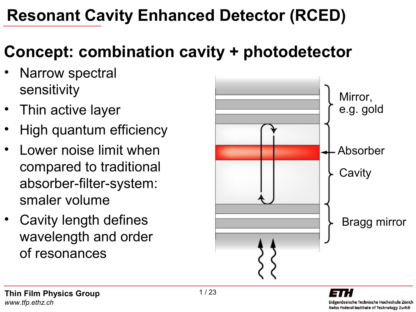### **Resonant Cavity Enhanced Detector (RCED)**

# **Concept: combination cavity + photodetector**

- Narrow spectral sensitivity
- Thin active layer
- High quantum efficiency
- Lower noise limit when compared to traditional absorber-filter-system: smaler volume
- Cavity length defines wavelength and order of resonances

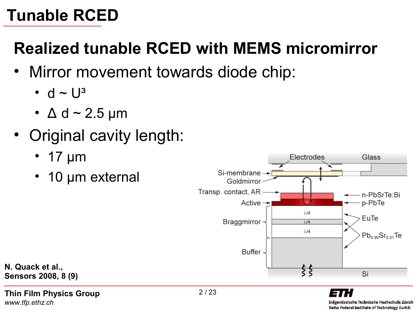# **Realized tunable RCED with MEMS micromirror**

- Mirror movement towards diode chip:
	- d  $\sim$  U<sup>3</sup>
	- $\Delta$  d ~ 2.5 µm
- Original cavity length:
	- 17 µm
	- 10 µm external



**N. Quack et al., Sensors 2008, 8 (9)**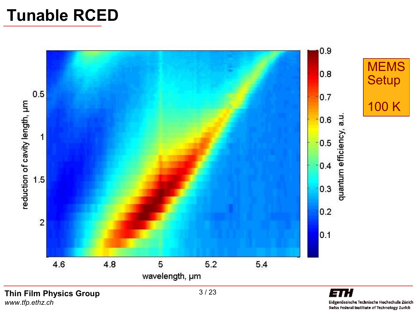

*www.tfp.ethz.ch*

Eidgenössische Technische Hochschule Zürich Swiss Federal Institute of Technology Zurich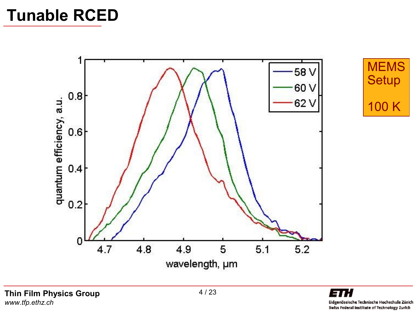

**MEMS Setup** 100 K

**Thin Film Physics Group** *www.tfp.ethz.ch*

ETH Eidgenössische Technische Hochschule Zürich Swiss Federal Institute of Technology Zurich